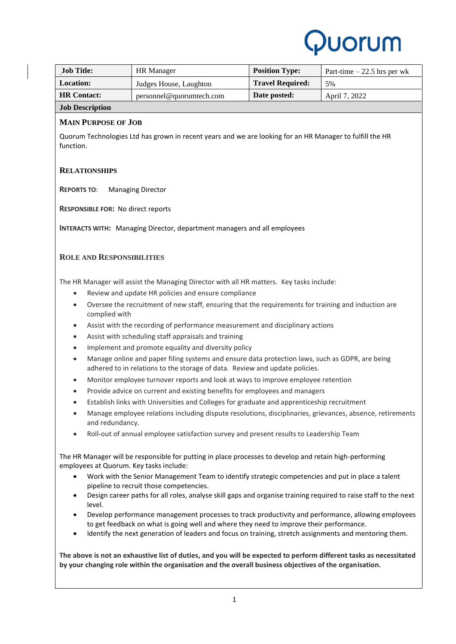

| Job Title:             | HR Manager               | <b>Position Type:</b>   | Part-time $-22.5$ hrs per wk |
|------------------------|--------------------------|-------------------------|------------------------------|
| <b>Location:</b>       | Judges House, Laughton   | <b>Travel Required:</b> | 5%                           |
| <b>HR</b> Contact:     | personnel@quorumtech.com | Date posted:            | April 7, 2022                |
| <b>Job Description</b> |                          |                         |                              |

# **MAIN PURPOSE OF JOB**

Quorum Technologies Ltd has grown in recent years and we are looking for an HR Manager to fulfill the HR function.

## **RELATIONSHIPS**

**REPORTS TO**: Managing Director

**RESPONSIBLE FOR:** No direct reports

**INTERACTS WITH:** Managing Director, department managers and all employees

## **ROLE AND RESPONSIBILITIES**

The HR Manager will assist the Managing Director with all HR matters. Key tasks include:

- Review and update HR policies and ensure compliance
- Oversee the recruitment of new staff, ensuring that the requirements for training and induction are complied with
- Assist with the recording of performance measurement and disciplinary actions
- Assist with scheduling staff appraisals and training
- Implement and promote equality and diversity policy
- Manage online and paper filing systems and ensure data protection laws, such as GDPR, are being adhered to in relations to the storage of data. Review and update policies.
- Monitor employee turnover reports and look at ways to improve employee retention
- Provide advice on current and existing benefits for employees and managers
- Establish links with Universities and Colleges for graduate and apprenticeship recruitment
- Manage employee relations including dispute resolutions, disciplinaries, grievances, absence, retirements and redundancy.
- Roll-out of annual employee satisfaction survey and present results to Leadership Team

The HR Manager will be responsible for putting in place processes to develop and retain high-performing employees at Quorum. Key tasks include:

- Work with the Senior Management Team to identify strategic competencies and put in place a talent pipeline to recruit those competencies.
- Design career paths for all roles, analyse skill gaps and organise training required to raise staff to the next level.
- Develop performance management processes to track productivity and performance, allowing employees to get feedback on what is going well and where they need to improve their performance.
- Identify the next generation of leaders and focus on training, stretch assignments and mentoring them.

**The above is not an exhaustive list of duties, and you will be expected to perform different tasks as necessitated by your changing role within the organisation and the overall business objectives of the organisation.**